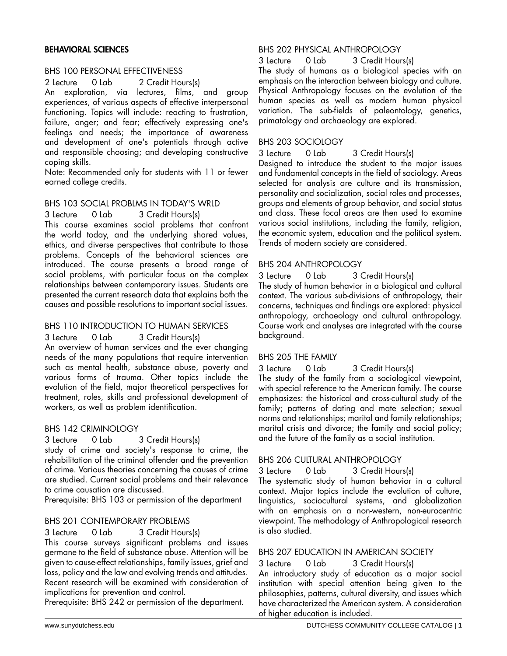## BEHAVIORAL SCIENCES

### BHS 100 PERSONAL EFFECTIVENESS

2 Lecture 0 Lab 2 Credit Hours(s)

An exploration, via lectures, films, and group experiences, of various aspects of effective interpersonal functioning. Topics will include: reacting to frustration, failure, anger; and fear; effectively expressing one's feelings and needs; the importance of awareness and development of one's potentials through active and responsible choosing; and developing constructive coping skills.

Note: Recommended only for students with 11 or fewer earned college credits.

# BHS 103 SOCIAL PROBLMS IN TODAY'S WRLD

3 Lecture 0 Lab 3 Credit Hours(s)

This course examines social problems that confront the world today, and the underlying shared values, ethics, and diverse perspectives that contribute to those problems. Concepts of the behavioral sciences are introduced. The course presents a broad range of social problems, with particular focus on the complex relationships between contemporary issues. Students are presented the current research data that explains both the causes and possible resolutions to important social issues.

### BHS 110 INTRODUCTION TO HUMAN SERVICES

3 Lecture 0 Lab 3 Credit Hours(s)

An overview of human services and the ever changing needs of the many populations that require intervention such as mental health, substance abuse, poverty and various forms of trauma. Other topics include the evolution of the field, major theoretical perspectives for treatment, roles, skills and professional development of workers, as well as problem identification.

### BHS 142 CRIMINOLOGY

3 Lecture 0 Lab 3 Credit Hours(s)

study of crime and society's response to crime, the rehabilitation of the criminal offender and the prevention of crime. Various theories concerning the causes of crime are studied. Current social problems and their relevance to crime causation are discussed.

Prerequisite: BHS 103 or permission of the department

## BHS 201 CONTEMPORARY PROBLEMS

3 Lecture 0 Lab 3 Credit Hours(s) This course surveys significant problems and issues germane to the field of substance abuse. Attention will be given to cause-effect relationships, family issues, grief and loss, policy and the law and evolving trends and attitudes. Recent research will be examined with consideration of implications for prevention and control.

Prerequisite: BHS 242 or permission of the department.

## BHS 202 PHYSICAL ANTHROPOLOGY

3 Lecture 0 Lab 3 Credit Hours(s)

The study of humans as a biological species with an emphasis on the interaction between biology and culture. Physical Anthropology focuses on the evolution of the human species as well as modern human physical variation. The sub-fields of paleontology, genetics, primatology and archaeology are explored.

### BHS 203 SOCIOLOGY

3 Lecture 0 Lab 3 Credit Hours(s) Designed to introduce the student to the major issues and fundamental concepts in the field of sociology. Areas selected for analysis are culture and its transmission, personality and socialization, social roles and processes, groups and elements of group behavior, and social status and class. These focal areas are then used to examine various social institutions, including the family, religion, the economic system, education and the political system. Trends of modern society are considered.

#### BHS 204 ANTHROPOLOGY

3 Lecture 0 Lab 3 Credit Hours(s) The study of human behavior in a biological and cultural context. The various sub-divisions of anthropology, their concerns, techniques and findings are explored: physical anthropology, archaeology and cultural anthropology. Course work and analyses are integrated with the course background.

#### BHS 205 THE FAMILY

3 Lecture 0 Lab 3 Credit Hours(s) The study of the family from a sociological viewpoint, with special reference to the American family. The course emphasizes: the historical and cross-cultural study of the family; patterns of dating and mate selection; sexual norms and relationships; marital and family relationships; marital crisis and divorce; the family and social policy; and the future of the family as a social institution.

### BHS 206 CULTURAL ANTHROPOLOGY

3 Lecture 0 Lab 3 Credit Hours(s) The systematic study of human behavior in a cultural context. Major topics include the evolution of culture, linguistics, sociocultural systems, and globalization with an emphasis on a non-western, non-eurocentric viewpoint. The methodology of Anthropological research is also studied.

## BHS 207 EDUCATION IN AMERICAN SOCIETY

3 Lecture 0 Lab 3 Credit Hours(s) An introductory study of education as a major social institution with special attention being given to the philosophies, patterns, cultural diversity, and issues which have characterized the American system. A consideration of higher education is included.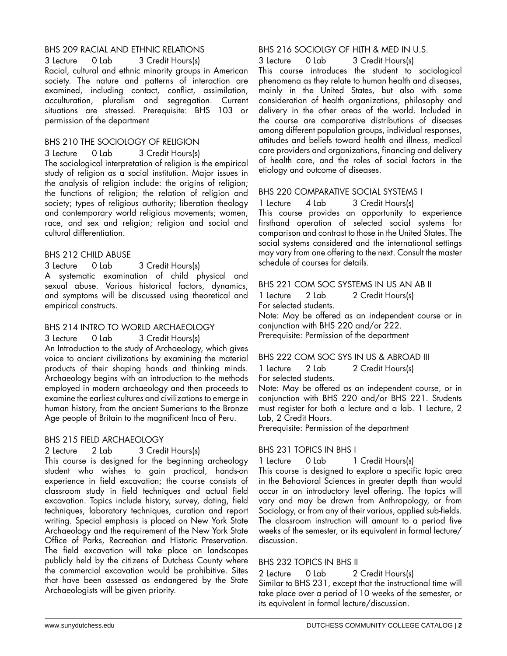# BHS 209 RACIAL AND ETHNIC RELATIONS

3 Lecture 0 Lab 3 Credit Hours(s) Racial, cultural and ethnic minority groups in American society. The nature and patterns of interaction are examined, including contact, conflict, assimilation, acculturation, pluralism and segregation. Current situations are stressed. Prerequisite: BHS 103 or permission of the department

# BHS 210 THE SOCIOLOGY OF RELIGION

3 Lecture 0 Lab 3 Credit Hours(s)

The sociological interpretation of religion is the empirical study of religion as a social institution. Major issues in the analysis of religion include: the origins of religion; the functions of religion; the relation of religion and society; types of religious authority; liberation theology and contemporary world religious movements; women, race, and sex and religion; religion and social and cultural differentiation.

# BHS 212 CHILD ABUSE

3 Lecture 0 Lab 3 Credit Hours(s) A systematic examination of child physical and sexual abuse. Various historical factors, dynamics, and symptoms will be discussed using theoretical and empirical constructs.

# BHS 214 INTRO TO WORLD ARCHAEOLOGY

3 Lecture 0 Lab 3 Credit Hours(s) An Introduction to the study of Archaeology, which gives voice to ancient civilizations by examining the material products of their shaping hands and thinking minds. Archaeology begins with an introduction to the methods employed in modern archaeology and then proceeds to examine the earliest cultures and civilizations to emerge in human history, from the ancient Sumerians to the Bronze Age people of Britain to the magnificent Inca of Peru.

# BHS 215 FIELD ARCHAEOLOGY

## 2 Lecture 2 Lab 3 Credit Hours(s) This course is designed for the beginning archeology student who wishes to gain practical, hands-on experience in field excavation; the course consists of classroom study in field techniques and actual field excavation. Topics include history, survey, dating, field techniques, laboratory techniques, curation and report writing. Special emphasis is placed on New York State Archaeology and the requirement of the New York State Office of Parks, Recreation and Historic Preservation. The field excavation will take place on landscapes publicly held by the citizens of Dutchess County where the commercial excavation would be prohibitive. Sites that have been assessed as endangered by the State Archaeologists will be given priority.

# BHS 216 SOCIOLGY OF HLTH & MED IN U.S.

3 Lecture 0 Lab 3 Credit Hours(s) This course introduces the student to sociological phenomena as they relate to human health and diseases, mainly in the United States, but also with some consideration of health organizations, philosophy and delivery in the other areas of the world. Included in the course are comparative distributions of diseases among different population groups, individual responses, attitudes and beliefs toward health and illness, medical care providers and organizations, financing and delivery of health care, and the roles of social factors in the etiology and outcome of diseases.

# BHS 220 COMPARATIVE SOCIAL SYSTEMS I

1 Lecture 4 Lab 3 Credit Hours(s) This course provides an opportunity to experience firsthand operation of selected social systems for comparison and contrast to those in the United States. The social systems considered and the international settings may vary from one offering to the next. Consult the master schedule of courses for details.

## BHS 221 COM SOC SYSTEMS IN US AN AB II

1 Lecture 2 Lab 2 Credit Hours(s) For selected students.

Note: May be offered as an independent course or in conjunction with BHS 220 and/or 222. Prerequisite: Permission of the department

# BHS 222 COM SOC SYS IN US & ABROAD III

1 Lecture 2 Lab 2 Credit Hours(s)

For selected students.

Note: May be offered as an independent course, or in conjunction with BHS 220 and/or BHS 221. Students must register for both a lecture and a lab. 1 Lecture, 2 Lab, 2 Credit Hours.

Prerequisite: Permission of the department

# BHS 231 TOPICS IN BHS I

1 Lecture 0 Lab 1 Credit Hours(s)

This course is designed to explore a specific topic area in the Behavioral Sciences in greater depth than would occur in an introductory level offering. The topics will vary and may be drawn from Anthropology, or from Sociology, or from any of their various, applied sub-fields. The classroom instruction will amount to a period five weeks of the semester, or its equivalent in formal lecture/ discussion.

# BHS 232 TOPICS IN BHS II

2 Lecture 0 Lab 2 Credit Hours(s) Similar to BHS 231, except that the instructional time will take place over a period of 10 weeks of the semester, or its equivalent in formal lecture/discussion.